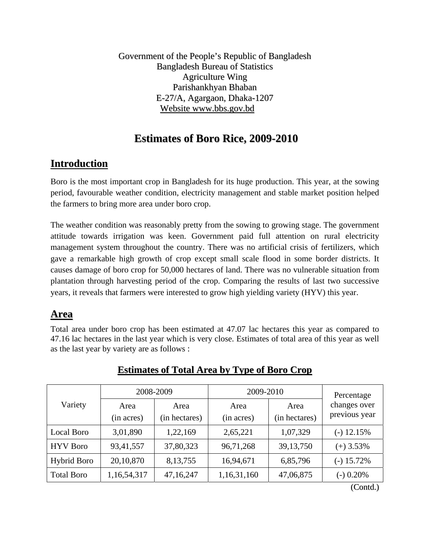Government of the People's Republic of Bangladesh Bangladesh Bureau of Statistics Agriculture Wing Parishankhyan Bhaban E-27/A, Agargaon, Dhaka-1207 Website www.bbs.gov.bd

## **Estimates of Boro Rice, 2009-2010**

## **Introduction**

Boro is the most important crop in Bangladesh for its huge production. This year, at the sowing period, favourable weather condition, electricity management and stable market position helped the farmers to bring more area under boro crop.

The weather condition was reasonably pretty from the sowing to growing stage. The government attitude towards irrigation was keen. Government paid full attention on rural electricity management system throughout the country. There was no artificial crisis of fertilizers, which gave a remarkable high growth of crop except small scale flood in some border districts. It causes damage of boro crop for 50,000 hectares of land. There was no vulnerable situation from plantation through harvesting period of the crop. Comparing the results of last two successive years, it reveals that farmers were interested to grow high yielding variety (HYV) this year.

## **Area**

Total area under boro crop has been estimated at 47.07 lac hectares this year as compared to 47.16 lac hectares in the last year which is very close. Estimates of total area of this year as well as the last year by variety are as follows :

|                    |                    | 2008-2009             | 2009-2010          |                       | Percentage                    |  |  |
|--------------------|--------------------|-----------------------|--------------------|-----------------------|-------------------------------|--|--|
| Variety            | Area<br>(in acres) | Area<br>(in hectares) | Area<br>(in acres) | Area<br>(in hectares) | changes over<br>previous year |  |  |
| Local Boro         | 3,01,890           | 1,22,169              | 2,65,221           | 1,07,329              | $(-)$ 12.15%                  |  |  |
| <b>HYV</b> Boro    | 93,41,557          | 37,80,323             | 96,71,268          | 39, 13, 750           | $(+)$ 3.53%                   |  |  |
| <b>Hybrid Boro</b> | 20,10,870          | 8, 13, 755            | 16,94,671          | 6,85,796              | $(-)$ 15.72%                  |  |  |
| <b>Total Boro</b>  | 1,16,54,317        | 47,16,247             | 1,16,31,160        | 47,06,875             | $(-)$ 0.20%                   |  |  |

### **Estimates of Total Area by Type of Boro Crop**

(Contd.)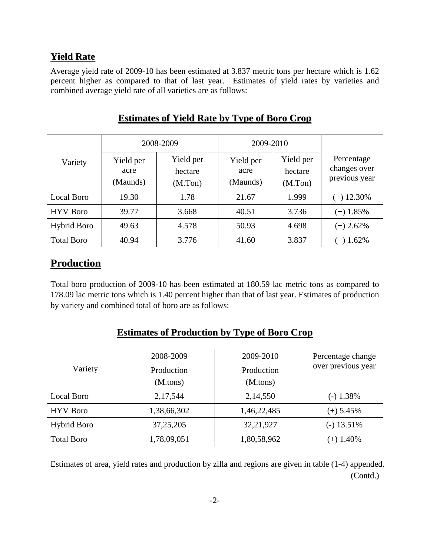### **Yield Rate**

Average yield rate of 2009-10 has been estimated at 3.837 metric tons per hectare which is 1.62 percent higher as compared to that of last year. Estimates of yield rates by varieties and combined average yield rate of all varieties are as follows:

|                    |                               | 2008-2009                       | 2009-2010                     |                                 |                                             |
|--------------------|-------------------------------|---------------------------------|-------------------------------|---------------------------------|---------------------------------------------|
| Variety            | Yield per<br>acre<br>(Maunds) | Yield per<br>hectare<br>(M.Ton) | Yield per<br>acre<br>(Maunds) | Yield per<br>hectare<br>(M.Ton) | Percentage<br>changes over<br>previous year |
| Local Boro         | 19.30                         | 1.78                            | 21.67                         | 1.999                           | $(+)$ 12.30%                                |
| <b>HYV</b> Boro    | 39.77                         | 3.668                           | 40.51                         | 3.736                           | $(+)$ 1.85%                                 |
| <b>Hybrid Boro</b> | 49.63                         | 4.578                           | 50.93                         | 4.698                           | $(+)$ 2.62%                                 |
| <b>Total Boro</b>  | 40.94                         | 3.776                           | 41.60                         | 3.837                           | $(+)$ 1.62%                                 |

### **Estimates of Yield Rate by Type of Boro Crop**

### **Production**

Total boro production of 2009-10 has been estimated at 180.59 lac metric tons as compared to 178.09 lac metric tons which is 1.40 percent higher than that of last year. Estimates of production by variety and combined total of boro are as follows:

#### 2008-2009 2009-2010 Variety **Production** (M.tons) Production (M.tons) Percentage change over previous year Local Boro 1.38% HYV Boro 1,38,66,302 1,46,22,485 (+) 5.45% Hybrid Boro  $\vert$  37,25,205  $\vert$  32,21,927  $\vert$  (-) 13.51% Total Boro  $1,78,09,051$   $1,80,58,962$   $(+) 1.40\%$

### **Estimates of Production by Type of Boro Crop**

Estimates of area, yield rates and production by zilla and regions are given in table (1-4) appended. (Contd.)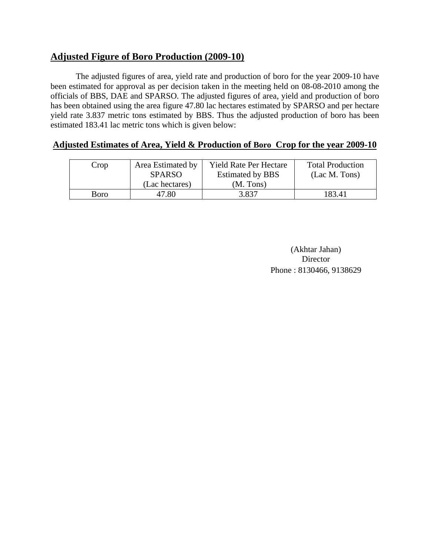### **Adjusted Figure of Boro Production (2009-10)**

The adjusted figures of area, yield rate and production of boro for the year 2009-10 have been estimated for approval as per decision taken in the meeting held on 08-08-2010 among the officials of BBS, DAE and SPARSO. The adjusted figures of area, yield and production of boro has been obtained using the area figure 47.80 lac hectares estimated by SPARSO and per hectare yield rate 3.837 metric tons estimated by BBS. Thus the adjusted production of boro has been estimated 183.41 lac metric tons which is given below:

#### **Adjusted Estimates of Area, Yield & Production of Boro Crop for the year 2009-10**

| Crop | Area Estimated by | <b>Yield Rate Per Hectare</b> | <b>Total Production</b> |
|------|-------------------|-------------------------------|-------------------------|
|      | <b>SPARSO</b>     | <b>Estimated by BBS</b>       | (Lac M. Tons)           |
|      | (Lac hectares)    | (M. Tons)                     |                         |
| Boro | 47.80             | 3.837                         | 183.41                  |

(Akhtar Jahan) Director Phone : 8130466, 9138629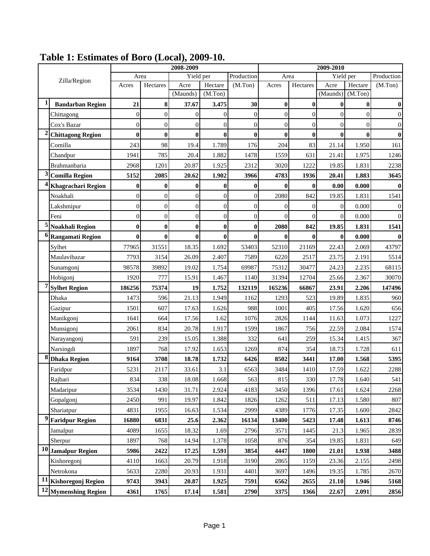|           |                           | 2008-2009        |                  |                  |                  |                  | 2009-2010      |                  |                |          |              |
|-----------|---------------------------|------------------|------------------|------------------|------------------|------------------|----------------|------------------|----------------|----------|--------------|
|           | Zilla/Region              | Area             |                  | Yield per        |                  | Production       | Area           |                  | Yield per      |          | Production   |
|           |                           | Acres            | Hectares         | Acre             | Hectare          | (M.Ton)          | Acres          | Hectares         | Acre           | Hectare  | (M.Ton)      |
|           |                           |                  |                  | (Maunds)         | (M.Ton)          |                  |                |                  | (Maunds)       | (M.Ton)  |              |
|           | <b>Bandarban Region</b>   | 21               | 8                | 37.67            | 3.475            | 30               | $\bf{0}$       | $\bf{0}$         | $\bf{0}$       | $\bf{0}$ | $\bf{0}$     |
|           | Chittagong                | $\mathbf{0}$     | $\mathbf{0}$     | $\overline{0}$   | $\boldsymbol{0}$ | $\boldsymbol{0}$ | $\mathbf{0}$   | $\mathbf{0}$     | $\overline{0}$ | 0        | $\mathbf{0}$ |
|           | Cox's Bazar               | $\overline{0}$   | $\mathbf{0}$     | $\overline{0}$   | $\mathbf{0}$     | $\overline{0}$   | $\overline{0}$ | $\overline{0}$   | $\overline{0}$ | $\Omega$ | $\mathbf{0}$ |
|           | <b>Chittagong Region</b>  | $\bf{0}$         | $\bf{0}$         | $\bf{0}$         | $\bf{0}$         | $\bf{0}$         | 0              | $\bf{0}$         | $\bf{0}$       | 0        | $\bf{0}$     |
|           | Comilla                   | 243              | 98               | 19.4             | 1.789            | 176              | 204            | 83               | 21.14          | 1.950    | 161          |
|           | Chandpur                  | 1941             | 785              | 20.4             | 1.882            | 1478             | 1559           | 631              | 21.41          | 1.975    | 1246         |
|           | Brahmanbaria              | 2968             | 1201             | 20.87            | 1.925            | 2312             | 3020           | 1222             | 19.85          | 1.831    | 2238         |
| 3         | <b>Comilla Region</b>     | 5152             | 2085             | 20.62            | 1.902            | 3966             | 4783           | 1936             | 20.41          | 1.883    | 3645         |
|           | <b>Khagrachari Region</b> | $\bf{0}$         | $\bf{0}$         | $\bf{0}$         | $\bf{0}$         | $\bf{0}$         | $\bf{0}$       | $\bf{0}$         | 0.00           | 0.000    | $\bf{0}$     |
|           | Noakhali                  | $\mathbf{0}$     | $\mathbf{0}$     | $\boldsymbol{0}$ | $\boldsymbol{0}$ | $\boldsymbol{0}$ | 2080           | 842              | 19.85          | 1.831    | 1541         |
|           | Lakshmipur                | $\boldsymbol{0}$ | $\mathbf{0}$     | $\mathbf{0}$     | $\boldsymbol{0}$ | $\boldsymbol{0}$ | $\overline{0}$ | $\boldsymbol{0}$ | $\overline{0}$ | 0.000    | $\mathbf{0}$ |
|           | Feni                      | $\mathbf{0}$     | $\mathbf{0}$     | $\overline{0}$   | $\boldsymbol{0}$ | $\boldsymbol{0}$ | $\overline{0}$ | $\overline{0}$   | $\overline{0}$ | 0.000    | $\Omega$     |
|           | <b>Noakhali Region</b>    | $\bf{0}$         | $\boldsymbol{0}$ | $\bf{0}$         | $\bf{0}$         | $\bf{0}$         | 2080           | 842              | 19.85          | 1.831    | 1541         |
|           | <b>Rangamati Region</b>   | $\bf{0}$         | $\boldsymbol{0}$ | $\bf{0}$         | $\bf{0}$         | $\bf{0}$         | $\bf{0}$       | $\bf{0}$         | $\bf{0}$       | 0.000    | $\mathbf{0}$ |
|           | Sylhet                    | 77965            | 31551            | 18.35            | 1.692            | 53403            | 52310          | 21169            | 22.43          | 2.069    | 43797        |
|           | Maulavibazar              | 7793             | 3154             | 26.09            | 2.407            | 7589             | 6220           | 2517             | 23.75          | 2.191    | 5514         |
|           | Sunamgonj                 | 98578            | 39892            | 19.02            | 1.754            | 69987            | 75312          | 30477            | 24.23          | 2.235    | 68115        |
|           | Hobigonj                  | 1920             | 777              | 15.91            | 1.467            | 1140             | 31394          | 12704            | 25.66          | 2.367    | 30070        |
|           | <b>Sylhet Region</b>      | 186256           | 75374            | 19               | 1.752            | 132119           | 165236         | 66867            | 23.91          | 2.206    | 147496       |
|           | Dhaka                     | 1473             | 596              | 21.13            | 1.949            | 1162             | 1293           | 523              | 19.89          | 1.835    | 960          |
|           | Gazipur                   | 1501             | 607              | 17.63            | 1.626            | 988              | 1001           | 405              | 17.56          | 1.620    | 656          |
|           | Manikgonj                 | 1641             | 664              | 17.56            | 1.62             | 1076             | 2826           | 1144             | 11.63          | 1.073    | 1227         |
|           | Munsigonj                 | 2061             | 834              | 20.78            | 1.917            | 1599             | 1867           | 756              | 22.59          | 2.084    | 1574         |
|           | Narayangonj               | 591              | 239              | 15.05            | 1.388            | 332              | 641            | 259              | 15.34          | 1.415    | 367          |
|           | Narsingdi                 | 1897             | 768              | 17.92            | 1.653            | 1269             | 874            | 354              | 18.73          | 1.728    | 611          |
| 8         | <b>Dhaka Region</b>       | 9164             | 3708             | 18.78            | 1.732            | 6426             | 8502           | 3441             | 17.00          | 1.568    | 5395         |
|           | Faridpur                  | 5231             | 2117             | 33.61            | 3.1              | 6563             | 3484           | 1410             | 17.59          | 1.622    | 2288         |
|           | Rajbari                   | 834              | 338              | 18.08            | 1.668            | 563              | 815            | 330              | 17.78          | 1.640    | 541          |
|           | Madaripur                 | 3534             | 1430             | 31.71            | 2.924            | 4183             | 3450           | 1396             | 17.61          | 1.624    | 2268         |
|           | Gopalgonj                 | 2450             | 991              | 19.97            | 1.842            | 1826             | 1262           | 511              | 17.13          | 1.580    | 807          |
|           | Shariatpur                | 4831             | 1955             | 16.63            | 1.534            | 2999             | 4389           | 1776             | 17.35          | 1.600    | 2842         |
| 9         | <b>Faridpur Region</b>    | 16880            | 6831             | 25.6             | 2.362            | 16134            | 13400          | 5423             | 17.48          | 1.613    | 8746         |
|           | Jamalpur                  | 4089             | 1655             | 18.32            | 1.69             | 2796             | 3571           | 1445             | 21.3           | 1.965    | 2839         |
|           | Sherpur                   | 1897             | 768              | 14.94            | 1.378            | 1058             | 876            | 354              | 19.85          | 1.831    | 649          |
| 10        | <b>Jamalpur Region</b>    | 5986             | 2422             | 17.25            | 1.591            | 3854             | 4447           | 1800             | 21.01          | 1.938    | 3488         |
|           | Kishoregonj               | 4110             | 1663             | 20.79            | 1.918            | 3190             | 2865           | 1159             | 23.36          | 2.155    | 2498         |
|           | Netrokona                 | 5633             | 2280             | 20.93            | 1.931            | 4401             | 3697           | 1496             | 19.35          | 1.785    | 2670         |
| <b>11</b> | Kishoregonj Region        | 9743             | 3943             | 20.87            | 1.925            | 7591             | 6562           | 2655             | 21.10          | 1.946    | 5168         |
| 12        | <b>Mymenshing Region</b>  | 4361             | 1765             | 17.14            | 1.581            | 2790             | 3375           | 1366             | 22.67          | 2.091    | 2856         |

## **Table 1: Estimates of Boro (Local), 2009-10.**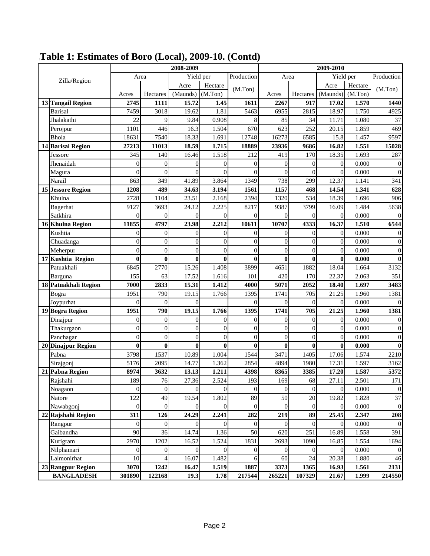|                          | 2008-2009<br>2009-2010 |                  |                |                  |                |                |                  |                  |         |                  |
|--------------------------|------------------------|------------------|----------------|------------------|----------------|----------------|------------------|------------------|---------|------------------|
| Zilla/Region             | Area                   |                  | Yield per      |                  | Production     | Area           |                  | Yield per        |         | Production       |
|                          |                        |                  | Acre           | Hectare          | (M.Ton)        |                |                  | Acre             | Hectare | (M.Ton)          |
|                          | Acres                  | Hectares         | (Maunds)       | (M.Ton)          |                | Acres          | Hectares         | (Maunds)         | (M.Ton) |                  |
| 13 Tangail Region        | 2745                   | 1111             | 15.72          | 1.45             | 1611           | 2267           | 917              | 17.02            | 1.570   | 1440             |
| <b>Barisal</b>           | 7459                   | 3018             | 19.62          | 1.81             | 5463           | 6955           | 2815             | 18.97            | 1.750   | 4925             |
| Jhalakathi               | 22                     | 9                | 9.84           | 0.908            | 8              | 85             | 34               | 11.71            | 1.080   | 37               |
| Perojpur                 | 1101                   | 446              | 16.3           | 1.504            | 670            | 623            | 252              | 20.15            | 1.859   | 469              |
| Bhola                    | 18631                  | 7540             | 18.33          | 1.691            | 12748          | 16273          | 6585             | 15.8             | 1.457   | 9597             |
| 14 Barisal Region        | 27213                  | 11013            | 18.59          | 1.715            | 18889          | 23936          | 9686             | 16.82            | 1.551   | 15028            |
| Jessore                  | 345                    | 140              | 16.46          | 1.518            | 212            | 419            | 170              | 18.35            | 1.693   | 287              |
| Jhenaidah                | $\overline{0}$         | $\theta$         | $\overline{0}$ | $\boldsymbol{0}$ | $\overline{0}$ | $\overline{0}$ | $\boldsymbol{0}$ | $\boldsymbol{0}$ | 0.000   | $\boldsymbol{0}$ |
| Magura                   | $\overline{0}$         | $\mathbf{0}$     | $\overline{0}$ | $\mathbf{0}$     | $\overline{0}$ | $\overline{0}$ | $\overline{0}$   | $\theta$         | 0.000   | $\boldsymbol{0}$ |
| Narail                   | 863                    | 349              | 41.89          | 3.864            | 1349           | 738            | 299              | 12.37            | 1.141   | 341              |
| <b>15 Jessore Region</b> | 1208                   | 489              | 34.63          | 3.194            | 1561           | 1157           | 468              | 14.54            | 1.341   | 628              |
| Khulna                   | 2728                   | 1104             | 23.51          | 2.168            | 2394           | 1320           | 534              | 18.39            | 1.696   | 906              |
| Bagerhat                 | 9127                   | 3693             | 24.12          | 2.225            | 8217           | 9387           | 3799             | 16.09            | 1.484   | 5638             |
| Satkhira                 | $\theta$               | $\overline{0}$   | $\Omega$       | $\overline{0}$   | $\theta$       | $\Omega$       | $\theta$         | $\theta$         | 0.000   | $\boldsymbol{0}$ |
| 16 Khulna Region         | 11855                  | 4797             | 23.98          | 2.212            | 10611          | 10707          | 4333             | 16.37            | 1.510   | 6544             |
| Kushtia                  | $\mathbf{0}$           | $\mathbf{0}$     | $\overline{0}$ | $\boldsymbol{0}$ | $\overline{0}$ | $\theta$       | $\mathbf{0}$     | $\mathbf{0}$     | 0.000   | $\boldsymbol{0}$ |
| Chuadanga                | $\mathbf{0}$           | $\mathbf{0}$     | $\overline{0}$ | $\boldsymbol{0}$ | $\overline{0}$ | $\overline{0}$ | $\boldsymbol{0}$ | $\boldsymbol{0}$ | 0.000   | $\boldsymbol{0}$ |
| Meherpur                 | $\overline{0}$         | $\overline{0}$   | $\overline{0}$ | $\overline{0}$   | $\overline{0}$ | $\overline{0}$ | $\mathbf{0}$     | $\overline{0}$   | 0.000   | $\boldsymbol{0}$ |
| 17 Kushtia Region        | $\bf{0}$               | $\bf{0}$         | $\bf{0}$       | $\bf{0}$         | $\bf{0}$       | $\bf{0}$       | $\bf{0}$         | $\bf{0}$         | 0.000   | $\bf{0}$         |
| Patuakhali               | 6845                   | 2770             | 15.26          | 1.408            | 3899           | 4651           | 1882             | 18.04            | 1.664   | 3132             |
| Barguna                  | 155                    | 63               | 17.52          | 1.616            | 101            | 420            | 170              | 22.37            | 2.063   | 351              |
| 18 Patuakhali Region     | 7000                   | 2833             | 15.31          | 1.412            | 4000           | 5071           | 2052             | 18.40            | 1.697   | 3483             |
| Bogra                    | 1951                   | 790              | 19.15          | 1.766            | 1395           | 1741           | 705              | 21.25            | 1.960   | 1381             |
| Joypurhat                | $\theta$               | $\theta$         | $\theta$       |                  | $\theta$       | $\theta$       | $\overline{0}$   | $\mathbf{0}$     | 0.000   | $\mathbf{0}$     |
| 19 Bogra Region          | 1951                   | 790              | 19.15          | 1.766            | 1395           | 1741           | 705              | 21.25            | 1.960   | 1381             |
| Dinajpur                 | $\overline{0}$         | $\mathbf{0}$     | $\overline{0}$ | $\boldsymbol{0}$ | $\overline{0}$ | $\overline{0}$ | $\overline{0}$   | $\boldsymbol{0}$ | 0.000   | $\boldsymbol{0}$ |
| Thakurgaon               | $\boldsymbol{0}$       | $\boldsymbol{0}$ | $\overline{0}$ | $\boldsymbol{0}$ | $\overline{0}$ | $\overline{0}$ | $\overline{0}$   | $\boldsymbol{0}$ | 0.000   | $\boldsymbol{0}$ |
| Panchagar                | $\overline{0}$         | $\overline{0}$   | $\overline{0}$ | $\overline{0}$   | $\overline{0}$ | $\overline{0}$ | $\overline{0}$   | $\mathbf{0}$     | 0.000   | $\boldsymbol{0}$ |
| 20 Dinajpur Region       | $\bf{0}$               | $\bf{0}$         | $\bf{0}$       | $\bf{0}$         | $\bf{0}$       | $\bf{0}$       | $\bf{0}$         | $\bf{0}$         | 0.000   | $\boldsymbol{0}$ |
| Pabna                    | 3798                   | 1537             | 10.89          | 1.004            | 1544           | 3471           | 1405             | 17.06            | 1.574   | 2210             |
| Sirajgonj                | 5176                   | 2095             | 14.77          | 1.362            | 2854           | 4894           | 1980             | 17.31            | 1.597   | 3162             |
| 21 Pabna Region          | 8974                   | 3632             | 13.13          | 1.211            | 4398           | 8365           | 3385             | 17.20            | 1.587   | 5372             |
| Rajshahi                 | 189                    | 76               | 27.36          | 2.524            | 193            | 169            | 68               | 27.11            | 2.501   | 171              |
| Noagaon                  | $\theta$               | $\mathbf{0}$     | $\Omega$       | $\Omega$         | $\theta$       | $\Omega$       | $\overline{0}$   | $\mathbf{0}$     | 0.000   | $\boldsymbol{0}$ |
| Natore                   | 122                    | 49               | 19.54          | 1.802            | 89             | 50             | $20\,$           | 19.82            | 1.828   | 37               |
| Nawabgonj                | $\boldsymbol{0}$       | $\boldsymbol{0}$ | $\Omega$       | $\theta$         | $\theta$       | $\mathbf{0}$   | $\boldsymbol{0}$ | $\mathbf{0}$     | 0.000   | $\boldsymbol{0}$ |
| 22 Rajshahi Region       | 311                    | 126              | 24.29          | 2.241            | 282            | 219            | 89               | 25.45            | 2.347   | 208              |
| Rangpur                  | $\overline{0}$         | $\mathbf{0}$     | $\Omega$       | $\Omega$         | $\theta$       | $\mathbf{0}$   | $\mathbf{0}$     | $\mathbf{0}$     | 0.000   | $\boldsymbol{0}$ |
| Gaibandha                | 90                     | 36               | 14.74          | 1.36             | 50             | 620            | 251              | 16.89            | 1.558   | 391              |
| Kurigram                 | 2970                   | 1202             | 16.52          | 1.524            | 1831           | 2693           | 1090             | 16.85            | 1.554   | 1694             |
| Nilphamari               | $\overline{0}$         | $\mathbf{0}$     | $\overline{0}$ | $\boldsymbol{0}$ | $\overline{0}$ | $\mathbf{0}$   | $\overline{0}$   | $\boldsymbol{0}$ | 0.000   | $\overline{0}$   |
| Lalmonirhat              | 10                     | 4                | 16.07          | 1.482            | 6              | 60             | 24               | 20.38            | 1.880   | 46               |
| 23 Rangpur Region        | 3070                   | 1242             | 16.47          | 1.519            | 1887           | 3373           | 1365             | 16.93            | 1.561   | 2131             |
| <b>BANGLADESH</b>        | 301890                 | 122168           | 19.3           | 1.78             | 217544         | 265221         | 107329           | 21.67            | 1.999   | 214550           |

# (**Table 1: Estimates of Boro (Local), 2009-10. (Contd)**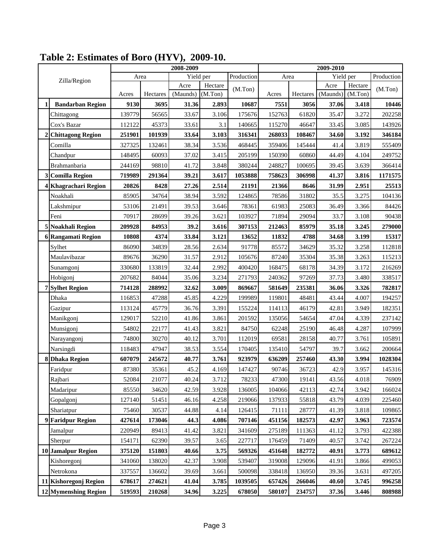|   |                          | 2008-2009 |          |                  |                    |            | 2009-2010 |          |                  |                    |            |
|---|--------------------------|-----------|----------|------------------|--------------------|------------|-----------|----------|------------------|--------------------|------------|
|   | Zilla/Region             | Area      |          | Yield per        |                    | Production | Area      |          | Yield per        |                    | Production |
|   |                          | Acres     | Hectares | Acre<br>(Maunds) | Hectare<br>(M.Ton) | (M.Ton)    | Acres     | Hectares | Acre<br>(Maunds) | Hectare<br>(M.Ton) | (M.Ton)    |
| 1 | <b>Bandarban Region</b>  | 9130      | 3695     | 31.36            | 2.893              | 10687      | 7551      | 3056     | 37.06            | 3.418              | 10446      |
|   | Chittagong               | 139779    | 56565    | 33.67            | 3.106              | 175676     | 152763    | 61820    | 35.47            | 3.272              | 202258     |
|   | Cox's Bazar              | 112122    | 45373    | 33.61            | 3.1                | 140665     | 115270    | 46647    | 33.45            | 3.085              | 143926     |
|   | <b>Chittagong Region</b> | 251901    | 101939   | 33.64            | 3.103              | 316341     | 268033    | 108467   | 34.60            | 3.192              | 346184     |
|   | Comilla                  | 327325    | 132461   | 38.34            | 3.536              | 468445     | 359406    | 145444   | 41.4             | 3.819              | 555409     |
|   | Chandpur                 | 148495    | 60093    | 37.02            | 3.415              | 205199     | 150390    | 60860    | 44.49            | 4.104              | 249752     |
|   | Brahmanbaria             | 244169    | 98810    | 41.72            | 3.848              | 380244     | 248827    | 100695   | 39.45            | 3.639              | 366414     |
| 3 | <b>Comilla Region</b>    | 719989    | 291364   | 39.21            | 3.617              | 1053888    | 758623    | 306998   | 41.37            | 3.816              | 1171575    |
|   | Khagrachari Region       | 20826     | 8428     | 27.26            | 2.514              | 21191      | 21366     | 8646     | 31.99            | 2.951              | 25513      |
|   | Noakhali                 | 85905     | 34764    | 38.94            | 3.592              | 124865     | 78586     | 31802    | 35.5             | 3.275              | 104136     |
|   | Lakshmipur               | 53106     | 21491    | 39.53            | 3.646              | 78361      | 61983     | 25083    | 36.49            | 3.366              | 84426      |
|   | Feni                     | 70917     | 28699    | 39.26            | 3.621              | 103927     | 71894     | 29094    | 33.7             | 3.108              | 90438      |
|   | <b>Noakhali Region</b>   | 209928    | 84953    | 39.2             | 3.616              | 307153     | 212463    | 85979    | 35.18            | 3.245              | 279000     |
|   | 6 Rangamati Region       | 10808     | 4374     | 33.84            | 3.121              | 13652      | 11832     | 4788     | 34.68            | 3.199              | 15317      |
|   | Sylhet                   | 86090     | 34839    | 28.56            | 2.634              | 91778      | 85572     | 34629    | 35.32            | 3.258              | 112818     |
|   | Maulavibazar             | 89676     | 36290    | 31.57            | 2.912              | 105676     | 87240     | 35304    | 35.38            | 3.263              | 115213     |
|   | Sunamgonj                | 330680    | 133819   | 32.44            | 2.992              | 400420     | 168475    | 68178    | 34.39            | 3.172              | 216269     |
|   | Hobigonj                 | 207682    | 84044    | 35.06            | 3.234              | 271793     | 240362    | 97269    | 37.73            | 3.480              | 338517     |
|   | <b>7</b> Sylhet Region   | 714128    | 288992   | 32.62            | 3.009              | 869667     | 581649    | 235381   | 36.06            | 3.326              | 782817     |
|   | Dhaka                    | 116853    | 47288    | 45.85            | 4.229              | 199989     | 119801    | 48481    | 43.44            | 4.007              | 194257     |
|   | Gazipur                  | 113124    | 45779    | 36.76            | 3.391              | 155224     | 114113    | 46179    | 42.81            | 3.949              | 182351     |
|   | Manikgonj                | 129017    | 52210    | 41.86            | 3.861              | 201592     | 135056    | 54654    | 47.04            | 4.339              | 237142     |
|   | Munsigonj                | 54802     | 22177    | 41.43            | 3.821              | 84750      | 62248     | 25190    | 46.48            | 4.287              | 107999     |
|   | Narayangonj              | 74800     | 30270    | 40.12            | 3.701              | 112019     | 69581     | 28158    | 40.77            | 3.761              | 105891     |
|   | Narsingdi                | 118483    | 47947    | 38.53            | 3.554              | 170405     | 135410    | 54797    | 39.7             | 3.662              | 200664     |
|   | 8 Dhaka Region           | 607079    | 245672   | 40.77            | 3.761              | 923979     | 636209    | 257460   | 43.30            | 3.994              | 1028304    |
|   | Faridpur                 | 87380     | 35361    | 45.2             | 4.169              | 147427     | 90746     | 36723    | 42.9             | 3.957              | 145316     |
|   | Rajbari                  | 52084     | 21077    | 40.24            | 3.712              | 78233      | 47300     | 19141    | 43.56            | 4.018              | 76909      |
|   | Madaripur                | 85550     | 34620    | 42.59            | 3.928              | 136005     | 104066    | 42113    | 42.74            | 3.942              | 166024     |
|   | Gopalgonj                | 127140    | 51451    | 46.16            | 4.258              | 219066     | 137933    | 55818    | 43.79            | 4.039              | 225460     |
|   | Shariatpur               | 75460     | 30537    | 44.88            | 4.14               | 126415     | 71111     | 28777    | 41.39            | 3.818              | 109865     |
|   | 9 Faridpur Region        | 427614    | 173046   | 44.3             | 4.086              | 707146     | 451156    | 182573   | 42.97            | 3.963              | 723574     |
|   | Jamalpur                 | 220949    | 89413    | 41.42            | 3.821              | 341609     | 275189    | 111363   | 41.12            | 3.793              | 422388     |
|   | Sherpur                  | 154171    | 62390    | 39.57            | 3.65               | 227717     | 176459    | 71409    | 40.57            | 3.742              | 267224     |
|   | 10 Jamalpur Region       | 375120    | 151803   | 40.66            | 3.75               | 569326     | 451648    | 182772   | 40.91            | 3.773              | 689612     |
|   | Kishoregonj              | 341060    | 138020   | 42.37            | 3.908              | 539407     | 319008    | 129096   | 41.91            | 3.866              | 499053     |
|   | Netrokona                | 337557    | 136602   | 39.69            | 3.661              | 500098     | 338418    | 136950   | 39.36            | 3.631              | 497205     |
|   | 11 Kishoregonj Region    | 678617    | 274621   | 41.04            | 3.785              | 1039505    | 657426    | 266046   | 40.60            | 3.745              | 996258     |
|   | 12 Mymenshing Region     | 519593    | 210268   | 34.96            | 3.225              | 678050     | 580107    | 234757   | 37.36            | 3.446              | 808988     |

## **Table 2: Estimates of Boro (HYV), 2009-10.**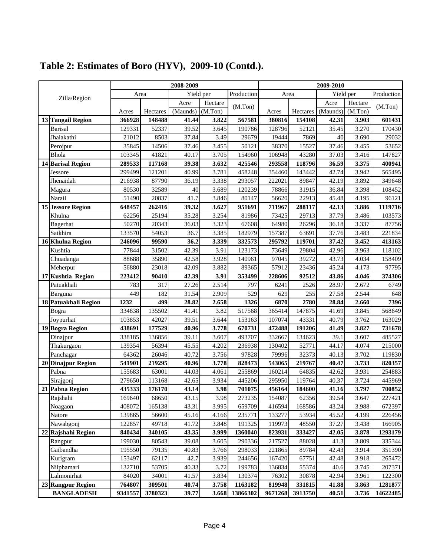|    |                          | 2008-2009 |          |           |         |            | 2009-2010 |          |           |         |            |
|----|--------------------------|-----------|----------|-----------|---------|------------|-----------|----------|-----------|---------|------------|
|    | Zilla/Region             | Area      |          | Yield per |         | Production | Area      |          | Yield per |         | Production |
|    |                          |           |          | Acre      | Hectare | (M.Ton)    |           |          | Acre      | Hectare | (M.Ton)    |
|    |                          | Acres     | Hectares | (Maunds)  | (M.Ton) |            | Acres     | Hectares | (Maunds)  | (M.Ton) |            |
|    | 13 Tangail Region        | 366928    | 148488   | 41.44     | 3.822   | 567581     | 380816    | 154108   | 42.31     | 3.903   | 601431     |
|    | <b>Barisal</b>           | 129331    | 52337    | 39.52     | 3.645   | 190786     | 128796    | 52121    | 35.45     | 3.270   | 170430     |
|    | Jhalakathi               | 21012     | 8503     | 37.84     | 3.49    | 29679      | 19444     | 7869     | 40        | 3.690   | 29032      |
|    | Perojpur                 | 35845     | 14506    | 37.46     | 3.455   | 50121      | 38370     | 15527    | 37.46     | 3.455   | 53652      |
|    | Bhola                    | 103345    | 41821    | 40.17     | 3.705   | 154960     | 106948    | 43280    | 37.03     | 3.416   | 147827     |
|    | 14 Barisal Region        | 289533    | 117168   | 39.38     | 3.632   | 425546     | 293558    | 118796   | 36.59     | 3.375   | 400941     |
|    | Jessore                  | 299499    | 121201   | 40.99     | 3.781   | 458248     | 354460    | 143442   | 42.74     | 3.942   | 565495     |
|    | Jhenaidah                | 216938    | 87790    | 36.19     | 3.338   | 293057     | 222021    | 89847    | 42.19     | 3.892   | 349648     |
|    | Magura                   | 80530     | 32589    | 40        | 3.689   | 120239     | 78866     | 31915    | 36.84     | 3.398   | 108452     |
|    | Narail                   | 51490     | 20837    | 41.7      | 3.846   | 80147      | 56620     | 22913    | 45.48     | 4.195   | 96121      |
|    | <b>15 Jessore Region</b> | 648457    | 262416   | 39.32     | 3.627   | 951691     | 711967    | 288117   | 42.13     | 3.886   | 1119716    |
|    | Khulna                   | 62256     | 25194    | 35.28     | 3.254   | 81986      | 73425     | 29713    | 37.79     | 3.486   | 103573     |
|    | Bagerhat                 | 50270     | 20343    | 36.03     | 3.323   | 67608      | 64980     | 26296    | 36.18     | 3.337   | 87756      |
|    | Satkhira                 | 133570    | 54053    | 36.7      | 3.385   | 182979     | 157387    | 63691    | 37.76     | 3.483   | 221834     |
|    | 16 Khulna Region         | 246096    | 99590    | 36.2      | 3.339   | 332573     | 295792    | 119701   | 37.42     | 3.452   | 413163     |
|    | Kushtia                  | 77844     | 31502    | 42.39     | 3.91    | 123173     | 73649     | 29804    | 42.96     | 3.963   | 118102     |
|    | Chuadanga                | 88688     | 35890    | 42.58     | 3.928   | 140961     | 97045     | 39272    | 43.73     | 4.034   | 158409     |
|    | Meherpur                 | 56880     | 23018    | 42.09     | 3.882   | 89365      | 57912     | 23436    | 45.24     | 4.173   | 97795      |
|    | 17 Kushtia Region        | 223412    | 90410    | 42.39     | 3.91    | 353499     | 228606    | 92512    | 43.86     | 4.046   | 374306     |
|    | Patuakhali               | 783       | 317      | 27.26     | 2.514   | 797        | 6241      | 2526     | 28.97     | 2.672   | 6749       |
|    | Barguna                  | 449       | 182      | 31.54     | 2.909   | 529        | 629       | 255      | 27.58     | 2.544   | 648        |
|    | 18 Patuakhali Region     | 1232      | 499      | 28.82     | 2.658   | 1326       | 6870      | 2780     | 28.84     | 2.660   | 7396       |
|    | Bogra                    | 334838    | 135502   | 41.41     | 3.82    | 517568     | 365414    | 147875   | 41.69     | 3.845   | 568649     |
|    | Joypurhat                | 103853    | 42027    | 39.51     | 3.644   | 153163     | 107074    | 43331    | 40.79     | 3.762   | 163029     |
|    | 19 Bogra Region          | 438691    | 177529   | 40.96     | 3.778   | 670731     | 472488    | 191206   | 41.49     | 3.827   | 731678     |
|    | Dinajpur                 | 338185    | 136856   | 39.11     | 3.607   | 493707     | 332667    | 134623   | 39.1      | 3.607   | 485527     |
|    | Thakurgaon               | 139354    | 56394    | 45.55     | 4.202   | 236938     | 130402    | 52771    | 44.17     | 4.074   | 215000     |
|    | Panchagar                | 64362     | 26046    | 40.72     | 3.756   | 97828      | 79996     | 32373    | 40.13     | 3.702   | 119830     |
| 20 | <b>Dinajpur Region</b>   | 541901    | 219295   | 40.96     | 3.778   | 828473     | 543065    | 219767   | 40.47     | 3.733   | 820357     |
|    | Pabna                    | 155683    | 63001    | 44.03     | 4.061   | 255869     | 160214    | 64835    | 42.62     | 3.931   | 254883     |
|    | Sirajgonj                | 279650    | 113168   | 42.65     | 3.934   | 445206     | 295950    | 119764   | 40.37     | 3.724   | 445969     |
|    | 21 Pabna Region          | 435333    | 176170   | 43.14     | 3.98    | 701075     | 456164    | 184600   | 41.16     | 3.797   | 700852     |
|    | Rajshahi                 | 169640    | 68650    | 43.15     | 3.98    | 273235     | 154087    | 62356    | 39.54     | 3.647   | 227421     |
|    | Noagaon                  | 408072    | 165138   | 43.31     | 3.995   | 659709     | 416594    | 168586   | 43.24     | 3.988   | 672397     |
|    | Natore                   | 139865    | 56600    | 45.16     | 4.166   | 235771     | 133277    | 53934    | 45.52     | 4.199   | 226456     |
|    | Nawabgonj                | 122857    | 49718    | 41.72     | 3.848   | 191325     | 119973    | 48550    | 37.27     | 3.438   | 166905     |
|    | 22 Rajshahi Region       | 840434    | 340105   | 43.35     | 3.999   | 1360040    | 823931    | 333427   | 42.05     | 3.878   | 1293179    |
|    | Rangpur                  | 199030    | 80543    | 39.08     | 3.605   | 290336     | 217527    | 88028    | 41.3      | 3.809   | 335344     |
|    | Gaibandha                | 195550    | 79135    | 40.83     | 3.766   | 298033     | 221865    | 89784    | 42.43     | 3.914   | 351390     |
|    | Kurigram                 | 153497    | 62117    | 42.7      | 3.939   | 244656     | 167420    | 67751    | 42.48     | 3.918   | 265472     |
|    | Nilphamari               | 132710    | 53705    | 40.33     | 3.72    | 199783     | 136834    | 55374    | 40.6      | 3.745   | 207371     |
|    | Lalmonirhat              | 84020     | 34001    | 41.57     | 3.834   | 130374     | 76302     | 30878    | 42.94     | 3.961   | 122300     |
|    | 23 Rangpur Region        | 764807    | 309501   | 40.74     | 3.758   | 1163182    | 819948    | 331815   | 41.88     | 3.863   | 1281877    |
|    | <b>BANGLADESH</b>        | 9341557   | 3780323  | 39.77     | 3.668   | 13866302   | 9671268   | 3913750  | 40.51     | 3.736   | 14622485   |

## **Table 2: Estimates of Boro (HYV), 2009-10 (Contd.).**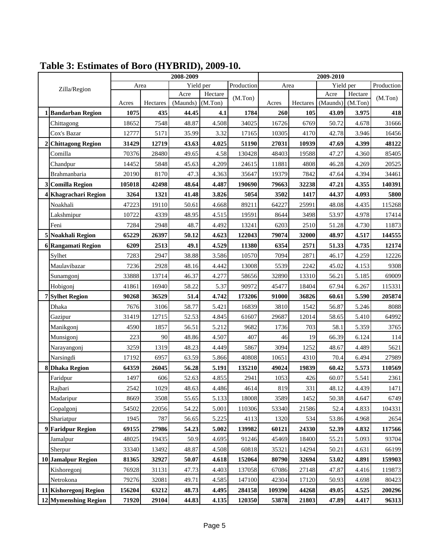|   |                           | 2008-2009 |                |                |         |            | 2009-2010 |          |           |                |            |
|---|---------------------------|-----------|----------------|----------------|---------|------------|-----------|----------|-----------|----------------|------------|
|   | Zilla/Region              | Area      |                | Yield per      |         | Production | Area      |          | Yield per |                | Production |
|   |                           |           |                | Acre           | Hectare | (M.Ton)    |           |          | Acre      | Hectare        | (M.Ton)    |
|   |                           | Acres     | Hectares       | (Maunds)       | (M.Ton) |            | Acres     | Hectares | (Maunds)  | (M.Ton)        |            |
|   | 1 Bandarban Region        | 1075      | 435            | 44.45          | 4.1     | 1784       | 260       | 105      | 43.09     | 3.975          | 418        |
|   | Chittagong                | 18652     | 7548           | 48.87          | 4.508   | 34025      | 16726     | 6769     | 50.72     | 4.678          | 31666      |
|   | Cox's Bazar               | 12777     | 5171           | 35.99          | 3.32    | 17165      | 10305     | 4170     | 42.78     | 3.946          | 16456      |
| 2 | <b>Chittagong Region</b>  | 31429     | 12719          | 43.63          | 4.025   | 51190      | 27031     | 10939    | 47.69     | 4.399          | 48122      |
|   | Comilla                   | 70376     | 28480          | 49.65          | 4.58    | 130428     | 48403     | 19588    | 47.27     | 4.360          | 85405      |
|   | Chandpur                  | 14452     | 5848           | 45.63          | 4.209   | 24615      | 11881     | 4808     | 46.28     | 4.269          | 20525      |
|   | Brahmanbaria              | 20190     | 8170           | 47.3           | 4.363   | 35647      | 19379     | 7842     | 47.64     | 4.394          | 34461      |
| 3 | <b>Comilla Region</b>     | 105018    | 42498          | 48.64          | 4.487   | 190690     | 79663     | 32238    | 47.21     | 4.355          | 140391     |
|   | 4 Khagrachari Region      | 3264      | 1321           | 41.48          | 3.826   | 5054       | 3502      | 1417     | 44.37     | 4.093          | 5800       |
|   | Noakhali                  | 47223     | 19110          | 50.61          | 4.668   | 89211      | 64227     | 25991    | 48.08     | 4.435          | 115268     |
|   | Lakshmipur                | 10722     | 4339           | 48.95          | 4.515   | 19591      | 8644      | 3498     | 53.97     | 4.978          | 17414      |
|   | Feni                      | 7284      | 2948           | 48.7           | 4.492   | 13241      | 6203      | 2510     | 51.28     | 4.730          | 11873      |
|   | 5 Noakhali Region         | 65229     | 26397          | 50.12          | 4.623   | 122043     | 79074     | 32000    | 48.97     | 4.517          | 144555     |
|   | <b>6 Rangamati Region</b> | 6209      | 2513           | 49.1           | 4.529   | 11380      | 6354      | 2571     | 51.33     | 4.735          | 12174      |
|   | Sylhet                    | 7283      | 2947           | 38.88          | 3.586   | 10570      | 7094      | 2871     | 46.17     | 4.259          | 12226      |
|   | Maulavibazar              | 7236      | 2928           | 48.16          | 4.442   | 13008      | 5539      | 2242     | 45.02     | 4.153          | 9308       |
|   | Sunamgonj                 | 33888     | 13714          | 46.37          | 4.277   | 58656      | 32890     | 13310    | 56.21     | 5.185          | 69009      |
|   | Hobigonj                  | 41861     | 16940          | 58.22          | 5.37    | 90972      | 45477     | 18404    | 67.94     | 6.267          | 115331     |
|   | <b>7</b> Sylhet Region    | 90268     | 36529          | 51.4           | 4.742   | 173206     | 91000     | 36826    | 60.61     | 5.590          | 205874     |
|   | Dhaka                     | 7676      | 3106           | 58.77          | 5.421   | 16839      | 3810      | 1542     | 56.87     | 5.246          | 8088       |
|   | Gazipur                   | 31419     | 12715          | 52.53          | 4.845   | 61607      | 29687     | 12014    | 58.65     | 5.410          | 64992      |
|   | Manikgonj                 | 4590      | 1857           | 56.51          | 5.212   | 9682       | 1736      | 703      | 58.1      | 5.359          | 3765       |
|   | Munsigonj                 | 223       | 90             | 48.86          | 4.507   | 407        | 46        | 19       | 66.39     | 6.124          | 114        |
|   | Narayangonj               | 3259      | 1319           | 48.23          | 4.449   | 5867       | 3094      | 1252     | 48.67     | 4.489          | 5621       |
|   | Narsingdi                 | 17192     | 6957           | 63.59          | 5.866   | 40808      | 10651     | 4310     | 70.4      | 6.494          | 27989      |
|   | 8 Dhaka Region            | 64359     | 26045          | 56.28          | 5.191   | 135210     | 49024     | 19839    | 60.42     | 5.573          | 110569     |
|   | Faridpur                  | 1497      | 606            | 52.63          | 4.855   | 2941       | 1053      | 426      | 60.07     | 5.541          | 2361       |
|   | Rajbari                   | 2542      | 1029           | 48.63          | 4.486   | 4614       | 819       | 331      | 48.12     | 4.439          | 1471       |
|   | Madaripur                 | 8669      | 3508           | 55.65          | 5.133   | 18008      | 3589      | 1452     | 50.38     | 4.647          | 6749       |
|   | Gopalgonj                 | 54502     | 22056          | 54.22          | 5.001   | 110306     | 53340     | 21586    | 52.4      | 4.833          | 104331     |
|   | Shariatpur                | 1945      | 787            | 56.65          | 5.225   | 4113       | 1320      | 534      | 53.86     | 4.968          | 2654       |
|   | 9 Faridpur Region         | 69155     | 27986          | 54.23          | 5.002   | 139982     | 60121     | 24330    | 52.39     | 4.832          | 117566     |
|   | Jamalpur                  | 48025     | 19435          | 50.9           | 4.695   | 91246      | 45469     | 18400    | 55.21     | 5.093          | 93704      |
|   | Sherpur                   | 33340     | 13492          | 48.87          | 4.508   | 60818      | 35321     | 14294    | 50.21     | 4.631          | 66199      |
|   | 10 Jamalpur Region        | 81365     | 32927          | 50.07          | 4.618   | 152064     | 80790     | 32694    | 53.02     | 4.891          | 159903     |
|   |                           | 76928     |                |                | 4.403   | 137058     | 67086     | 27148    | 47.87     |                | 119873     |
|   | Kishoregonj<br>Netrokona  | 79276     | 31131<br>32081 | 47.73<br>49.71 | 4.585   | 147100     | 42304     | 17120    | 50.93     | 4.416<br>4.698 | 80423      |
|   | 11 Kishoregonj Region     |           |                | 48.73          | 4.495   | 284158     |           | 44268    | 49.05     |                | 200296     |
|   |                           | 156204    | 63212          |                |         |            | 109390    |          |           | 4.525          |            |
|   | 12 Mymenshing Region      | 71920     | 29104          | 44.83          | 4.135   | 120350     | 53878     | 21803    | 47.89     | 4.417          | 96313      |

**Table 3: Estimates of Boro (HYBRID), 2009-10.**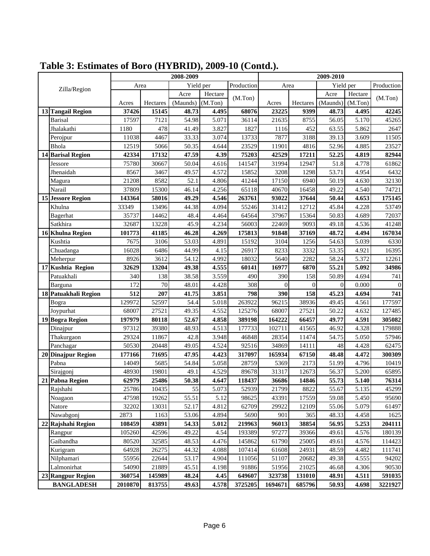|                          | 2008-2009 |          |           |         |            | 2009-2010 |              |                |           |                |
|--------------------------|-----------|----------|-----------|---------|------------|-----------|--------------|----------------|-----------|----------------|
| Zilla/Region             |           | Area     | Yield per |         | Production | Area      |              |                | Yield per | Production     |
|                          |           |          | Acre      | Hectare | (M.Ton)    |           |              | Acre           | Hectare   | (M.Ton)        |
|                          | Acres     | Hectares | (Maunds)  | (M.Ton) |            | Acres     | Hectares     | (Maunds)       | (M.Ton)   |                |
| 13 Tangail Region        | 37426     | 15145    | 48.73     | 4.495   | 68076      | 23225     | 9399         | 48.73          | 4.495     | 42245          |
| <b>Barisal</b>           | 17597     | 7121     | 54.98     | 5.071   | 36114      | 21635     | 8755         | 56.05          | 5.170     | 45265          |
| Jhalakathi               | 1180      | 478      | 41.49     | 3.827   | 1827       | 1116      | 452          | 63.55          | 5.862     | 2647           |
| Perojpur                 | 11038     | 4467     | 33.33     | 3.074   | 13733      | 7877      | 3188         | 39.13          | 3.609     | 11505          |
| <b>Bhola</b>             | 12519     | 5066     | 50.35     | 4.644   | 23529      | 11901     | 4816         | 52.96          | 4.885     | 23527          |
| 14 Barisal Region        | 42334     | 17132    | 47.59     | 4.39    | 75203      | 42529     | 17211        | 52.25          | 4.819     | 82944          |
| Jessore                  | 75780     | 30667    | 50.04     | 4.616   | 141547     | 31994     | 12947        | 51.8           | 4.778     | 61862          |
| Jhenaidah                | 8567      | 3467     | 49.57     | 4.572   | 15852      | 3208      | 1298         | 53.71          | 4.954     | 6432           |
| Magura                   | 21208     | 8582     | 52.1      | 4.806   | 41244      | 17150     | 6940         | 50.19          | 4.630     | 32130          |
| Narail                   | 37809     | 15300    | 46.14     | 4.256   | 65118      | 40670     | 16458        | 49.22          | 4.540     | 74721          |
| <b>15 Jessore Region</b> | 143364    | 58016    | 49.29     | 4.546   | 263761     | 93022     | 37644        | 50.44          | 4.653     | 175145         |
| Khulna                   | 33349     | 13496    | 44.38     | 4.094   | 55246      | 31412     | 12712        | 45.84          | 4.228     | 53749          |
| Bagerhat                 | 35737     | 14462    | 48.4      | 4.464   | 64564      | 37967     | 15364        | 50.83          | 4.689     | 72037          |
| Satkhira                 | 32687     | 13228    | 45.9      | 4.234   | 56003      | 22469     | 9093         | 49.18          | 4.536     | 41248          |
| 16 Khulna Region         | 101773    | 41185    | 46.28     | 4.269   | 175813     | 91848     | 37169        | 48.72          | 4.494     | 167034         |
| Kushtia                  | 7675      | 3106     | 53.03     | 4.891   | 15192      | 3104      | 1256         | 54.63          | 5.039     | 6330           |
| Chuadanga                | 16028     | 6486     | 44.99     | 4.15    | 26917      | 8233      | 3332         | 53.35          | 4.921     | 16395          |
| Meherpur                 | 8926      | 3612     | 54.12     | 4.992   | 18032      | 5640      | 2282         | 58.24          | 5.372     | 12261          |
| 17 Kushtia Region        | 32629     | 13204    | 49.38     | 4.555   | 60141      | 16977     | 6870         | 55.21          | 5.092     | 34986          |
| Patuakhali               | 340       | 138      | 38.58     | 3.559   | 490        | 390       | 158          | 50.89          | 4.694     | 741            |
| Barguna                  | 172       | 70       | 48.01     | 4.428   | 308        | $\Omega$  | $\mathbf{0}$ | $\overline{0}$ | 0.000     | $\overline{0}$ |
| 18 Patuakhali Region     | 512       | 207      | 41.75     | 3.851   | 798        | 390       | 158          | 45.23          | 4.694     | 741            |
| Bogra                    | 129972    | 52597    | 54.4      | 5.018   | 263922     | 96215     | 38936        | 49.45          | 4.561     | 177597         |
| Joypurhat                | 68007     | 27521    | 49.35     | 4.552   | 125276     | 68007     | 27521        | 50.22          | 4.632     | 127485         |
| 19 Bogra Region          | 197979    | 80118    | 52.67     | 4.858   | 389198     | 164222    | 66457        | 49.77          | 4.591     | 305082         |
| Dinajpur                 | 97312     | 39380    | 48.93     | 4.513   | 177733     | 102711    | 41565        | 46.92          | 4.328     | 179888         |
| Thakurgaon               | 29324     | 11867    | 42.8      | 3.948   | 46848      | 28354     | 11474        | 54.75          | 5.050     | 57946          |
| Panchagar                | 50530     | 20448    | 49.05     | 4.524   | 92516      | 34869     | 14111        | 48             | 4.428     | 62475          |
| 20 Dinajpur Region       | 177166    | 71695    | 47.95     | 4.423   | 317097     | 165934    | 67150        | 48.48          | 4.472     | 300309         |
| Pabna                    | 14049     | 5685     | 54.84     | 5.058   | 28759      | 5369      | 2173         | 51.99          | 4.796     | 10419          |
| Sirajgonj                | 48930     | 19801    | 49.1      | 4.529   | 89678      | 31317     | 12673        | 56.37          | 5.200     | 65895          |
| 21 Pabna Region          | 62979     | 25486    | 50.38     | 4.647   | 118437     | 36686     | 14846        | 55.73          | 5.140     | 76314          |
| Rajshahi                 | 25786     | 10435    | 55        | 5.073   | 52939      | 21799     | 8822         | 55.67          | 5.135     | 45299          |
| Noagaon                  | 47598     | 19262    | 55.51     | 5.12    | 98625      | 43391     | 17559        | 59.08          | 5.450     | 95690          |
| Natore                   | 32202     | 13031    | 52.17     | 4.812   | 62709      | 29922     | 12109        | 55.06          | 5.079     | 61497          |
| Nawabgonj                | 2873      | 1163     | 53.06     | 4.894   | 5690       | 901       | 365          | 48.33          | 4.458     | 1625           |
| 22 Rajshahi Region       | 108459    | 43891    | 54.33     | 5.012   | 219963     | 96013     | 38854        | 56.95          | 5.253     | 204111         |
| Rangpur                  | 105260    | 42596    | 49.22     | 4.54    | 193389     | 97277     | 39366        | 49.61          | 4.576     | 180139         |
| Gaibandha                | 80520     | 32585    | 48.53     | 4.476   | 145862     | 61790     | 25005        | 49.61          | 4.576     | 114423         |
| Kurigram                 | 64928     | 26275    | 44.32     | 4.088   | 107414     | 61608     | 24931        | 48.59          | 4.482     | 111741         |
| Nilphamari               | 55956     | 22644    | 53.17     | 4.904   | 111056     | 51107     | 20682        | 49.38          | 4.555     | 94202          |
| Lalmonirhat              | 54090     | 21889    | 45.51     | 4.198   | 91886      | 51956     | 21025        | 46.68          | 4.306     | 90530          |
| 23 Rangpur Region        | 360754    | 145989   | 48.24     | 4.45    | 649607     | 323738    | 131010       | 48.91          | 4.511     | 591035         |
| <b>BANGLADESH</b>        | 2010870   | 813755   | 49.63     | 4.578   | 3725205    | 1694671   | 685796       | 50.93          | 4.698     | 3221927        |

## **Table 3: Estimates of Boro (HYBRID), 2009-10 (Contd.).**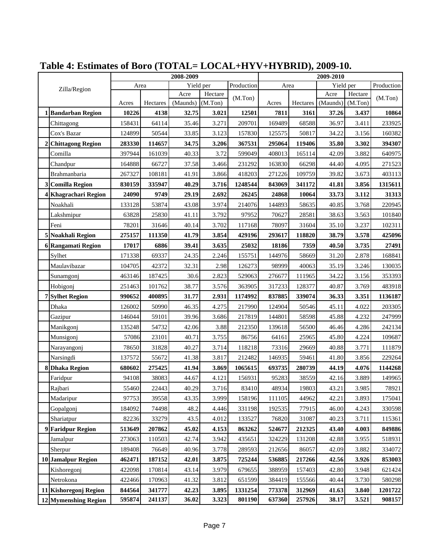|   |                          | 2008-2009 |          |           |         |            | 2009-2010 |          |           |         |            |
|---|--------------------------|-----------|----------|-----------|---------|------------|-----------|----------|-----------|---------|------------|
|   | Zilla/Region             | Area      |          | Yield per |         | Production | Area      |          | Yield per |         | Production |
|   |                          |           |          | Acre      | Hectare | (M.Ton)    |           |          | Acre      | Hectare | (M.Ton)    |
|   |                          | Acres     | Hectares | (Maunds)  | (M.Ton) |            | Acres     | Hectares | (Maunds)  | (M.Ton) |            |
|   | 1 Bandarban Region       | 10226     | 4138     | 32.75     | 3.021   | 12501      | 7811      | 3161     | 37.26     | 3.437   | 10864      |
|   | Chittagong               | 158431    | 64114    | 35.46     | 3.271   | 209701     | 169489    | 68588    | 36.97     | 3.411   | 233925     |
|   | Cox's Bazar              | 124899    | 50544    | 33.85     | 3.123   | 157830     | 125575    | 50817    | 34.22     | 3.156   | 160382     |
| 2 | <b>Chittagong Region</b> | 283330    | 114657   | 34.75     | 3.206   | 367531     | 295064    | 119406   | 35.80     | 3.302   | 394307     |
|   | Comilla                  | 397944    | 161039   | 40.33     | 3.72    | 599049     | 408013    | 165114   | 42.09     | 3.882   | 640975     |
|   | Chandpur                 | 164888    | 66727    | 37.58     | 3.466   | 231292     | 163830    | 66298    | 44.40     | 4.095   | 271523     |
|   | Brahmanbaria             | 267327    | 108181   | 41.91     | 3.866   | 418203     | 271226    | 109759   | 39.82     | 3.673   | 403113     |
|   | 3 Comilla Region         | 830159    | 335947   | 40.29     | 3.716   | 1248544    | 843069    | 341172   | 41.81     | 3.856   | 1315611    |
|   | 4 Khagrachari Region     | 24090     | 9749     | 29.19     | 2.692   | 26245      | 24868     | 10064    | 33.73     | 3.112   | 31313      |
|   | Noakhali                 | 133128    | 53874    | 43.08     | 3.974   | 214076     | 144893    | 58635    | 40.85     | 3.768   | 220945     |
|   | Lakshmipur               | 63828     | 25830    | 41.11     | 3.792   | 97952      | 70627     | 28581    | 38.63     | 3.563   | 101840     |
|   | Feni                     | 78201     | 31646    | 40.14     | 3.702   | 117168     | 78097     | 31604    | 35.10     | 3.237   | 102311     |
| 5 | <b>Noakhali Region</b>   | 275157    | 111350   | 41.79     | 3.854   | 429196     | 293617    | 118820   | 38.79     | 3.578   | 425096     |
|   | 6 Rangamati Region       | 17017     | 6886     | 39.41     | 3.635   | 25032      | 18186     | 7359     | 40.50     | 3.735   | 27491      |
|   | Sylhet                   | 171338    | 69337    | 24.35     | 2.246   | 155751     | 144976    | 58669    | 31.20     | 2.878   | 168841     |
|   | Maulavibazar             | 104705    | 42372    | 32.31     | 2.98    | 126273     | 98999     | 40063    | 35.19     | 3.246   | 130035     |
|   | Sunamgonj                | 463146    | 187425   | 30.6      | 2.823   | 529063     | 276677    | 111965   | 34.22     | 3.156   | 353393     |
|   | Hobigonj                 | 251463    | 101762   | 38.77     | 3.576   | 363905     | 317233    | 128377   | 40.87     | 3.769   | 483918     |
|   | <b>7</b> Sylhet Region   | 990652    | 400895   | 31.77     | 2.931   | 1174992    | 837885    | 339074   | 36.33     | 3.351   | 1136187    |
|   | Dhaka                    | 126002    | 50990    | 46.35     | 4.275   | 217990     | 124904    | 50546    | 45.11     | 4.022   | 203305     |
|   | Gazipur                  | 146044    | 59101    | 39.96     | 3.686   | 217819     | 144801    | 58598    | 45.88     | 4.232   | 247999     |
|   | Manikgonj                | 135248    | 54732    | 42.06     | 3.88    | 212350     | 139618    | 56500    | 46.46     | 4.286   | 242134     |
|   | Munsigonj                | 57086     | 23101    | 40.71     | 3.755   | 86756      | 64161     | 25965    | 45.80     | 4.224   | 109687     |
|   | Narayangonj              | 78650     | 31828    | 40.27     | 3.714   | 118218     | 73316     | 29669    | 40.88     | 3.771   | 111879     |
|   | Narsingdi                | 137572    | 55672    | 41.38     | 3.817   | 212482     | 146935    | 59461    | 41.80     | 3.856   | 229264     |
|   | 8 Dhaka Region           | 680602    | 275425   | 41.94     | 3.869   | 1065615    | 693735    | 280739   | 44.19     | 4.076   | 1144268    |
|   | Faridpur                 | 94108     | 38083    | 44.67     | 4.121   | 156931     | 95283     | 38559    | 42.16     | 3.889   | 149965     |
|   | Rajbari                  | 55460     | 22443    | 40.29     | 3.716   | 83410      | 48934     | 19803    | 43.21     | 3.985   | 78921      |
|   | Madaripur                | 97753     | 39558    | 43.35     | 3.999   | 158196     | 111105    | 44962    | 42.21     | 3.893   | 175041     |
|   | Gopalgonj                | 184092    | 74498    | 48.2      | 4.446   | 331198     | 192535    | 77915    | 46.00     | 4.243   | 330598     |
|   | Shariatpur               | 82236     | 33279    | 43.5      | 4.012   | 133527     | 76820     | 31087    | 40.23     | 3.711   | 115361     |
|   | 9 Faridpur Region        | 513649    | 207862   | 45.02     | 4.153   | 863262     | 524677    | 212325   | 43.40     | 4.003   | 849886     |
|   | Jamalpur                 | 273063    | 110503   | 42.74     | 3.942   | 435651     | 324229    | 131208   | 42.88     | 3.955   | 518931     |
|   | Sherpur                  | 189408    | 76649    | 40.96     | 3.778   | 289593     | 212656    | 86057    | 42.09     | 3.882   | 334072     |
|   | 10 Jamalpur Region       | 462471    | 187152   | 42.01     | 3.875   | 725244     | 536885    | 217266   | 42.56     | 3.926   | 853003     |
|   | Kishoregonj              | 422098    | 170814   | 43.14     | 3.979   | 679655     | 388959    | 157403   | 42.80     | 3.948   | 621424     |
|   | Netrokona                | 422466    | 170963   | 41.32     | 3.812   | 651599     | 384419    | 155566   | 40.44     | 3.730   | 580298     |
|   | 11 Kishoregonj Region    | 844564    | 341777   | 42.23     | 3.895   | 1331254    | 773378    | 312969   | 41.63     | 3.840   | 1201722    |
|   | 12 Mymenshing Region     | 595874    | 241137   | 36.02     | 3.323   | 801190     | 637360    | 257926   | 38.17     | 3.521   | 908157     |

## **Table 4: Estimates of Boro (TOTAL= LOCAL+HYV+HYBRID), 2009-10.**